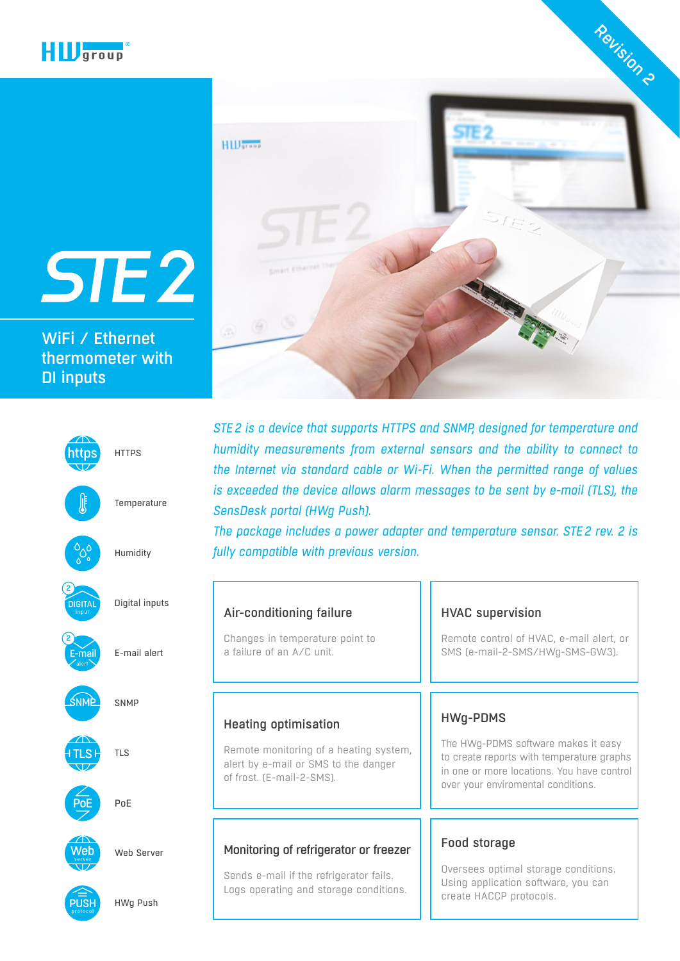

WiFi / Ethernet [thermometer with](https://www.hw-group.com/node/7568)  DI inputs





*STE2 is a device that supports HTTPS and SNMP, designed for temperature and humidity measurements from external sensors and the ability to connect to the Internet via standard cable or Wi-Fi. When the permitted range of values is exceeded the device allows alarm messages to be sent by e-mail (TLS), the SensDesk portal (HWg Push).* 

*The package includes a power adapter and temperature sensor. STE2 rev. 2 is fully compatible with previous version.*

| inputs       | Air-conditioning failure                                                                                                                   | <b>HVAC supervision</b>                                                                                                                                                                 |
|--------------|--------------------------------------------------------------------------------------------------------------------------------------------|-----------------------------------------------------------------------------------------------------------------------------------------------------------------------------------------|
| alert        | Changes in temperature point to<br>a failure of an A/C unit.                                                                               | Remote control of HVAC, e-mail alert, or<br>SMS (e-mail-2-SMS/HWg-SMS-GW3).                                                                                                             |
|              | <b>Heating optimisation</b><br>Remote monitoring of a heating system,<br>alert by e-mail or SMS to the danger<br>of frost. (E-mail-2-SMS). | <b>HWg-PDMS</b><br>The HWg-PDMS software makes it easy<br>to create reports with temperature graphs<br>in one or more locations. You have control<br>over your enviromental conditions. |
| erver<br>ush | Monitoring of refrigerator or freezer<br>Sends e-mail if the refrigerator fails.<br>Logs operating and storage conditions.                 | Food storage<br>Oversees optimal storage conditions.<br>Using application software, you can<br>create HACCP protocols.                                                                  |